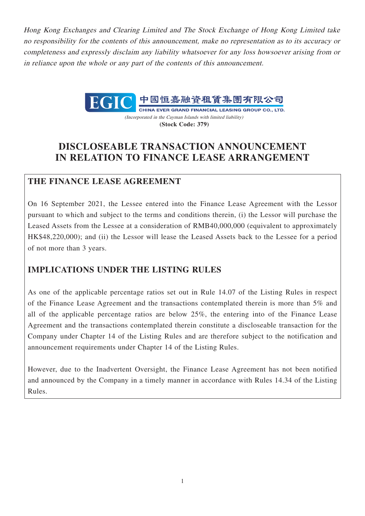Hong Kong Exchanges and Clearing Limited and The Stock Exchange of Hong Kong Limited take no responsibility for the contents of this announcement, make no representation as to its accuracy or completeness and expressly disclaim any liability whatsoever for any loss howsoever arising from or in reliance upon the whole or any part of the contents of this announcement.



CHINA EVER GRAND FINANCIAL LEASING GROUP CO., LTD. (Incorporated in the Cayman Islands with limited liability) **(Stock Code: 379)**

# **DISCLOSEABLE TRANSACTION ANNOUNCEMENT IN RELATION TO FINANCE LEASE ARRANGEMENT**

## **THE FINANCE LEASE AGREEMENT**

On 16 September 2021, the Lessee entered into the Finance Lease Agreement with the Lessor pursuant to which and subject to the terms and conditions therein, (i) the Lessor will purchase the Leased Assets from the Lessee at a consideration of RMB40,000,000 (equivalent to approximately HK\$48,220,000); and (ii) the Lessor will lease the Leased Assets back to the Lessee for a period of not more than 3 years.

## **IMPLICATIONS UNDER THE LISTING RULES**

As one of the applicable percentage ratios set out in Rule 14.07 of the Listing Rules in respect of the Finance Lease Agreement and the transactions contemplated therein is more than 5% and all of the applicable percentage ratios are below 25%, the entering into of the Finance Lease Agreement and the transactions contemplated therein constitute a discloseable transaction for the Company under Chapter 14 of the Listing Rules and are therefore subject to the notification and announcement requirements under Chapter 14 of the Listing Rules.

However, due to the Inadvertent Oversight, the Finance Lease Agreement has not been notified and announced by the Company in a timely manner in accordance with Rules 14.34 of the Listing Rules.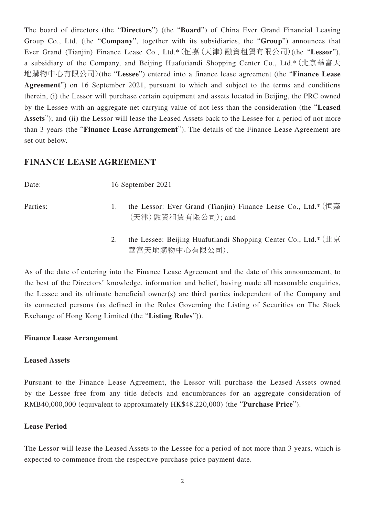The board of directors (the "**Directors**") (the "**Board**") of China Ever Grand Financial Leasing Group Co., Ltd. (the "**Company**", together with its subsidiaries, the "**Group**") announces that Ever Grand (Tianjin) Finance Lease Co., Ltd.\*(恒嘉(天津)融資租賃有限公司)(the "**Lessor**"), a subsidiary of the Company, and Beijing Huafutiandi Shopping Center Co., Ltd.\*(北京華富天 地購物中心有限公司)(the "**Lessee**") entered into a finance lease agreement (the "**Finance Lease Agreement**") on 16 September 2021, pursuant to which and subject to the terms and conditions therein, (i) the Lessor will purchase certain equipment and assets located in Beijing, the PRC owned by the Lessee with an aggregate net carrying value of not less than the consideration (the "**Leased**  Assets"); and (ii) the Lessor will lease the Leased Assets back to the Lessee for a period of not more than 3 years (the "**Finance Lease Arrangement**"). The details of the Finance Lease Agreement are set out below.

### **FINANCE LEASE AGREEMENT**

| Date:    | 16 September 2021                                                                                     |  |
|----------|-------------------------------------------------------------------------------------------------------|--|
| Parties: | the Lessor: Ever Grand (Tianjin) Finance Lease Co., Ltd.* (恒嘉<br>(天津) 融資租賃有限公司); and                  |  |
|          | the Lessee: Beijing Huafutiandi Shopping Center Co., Ltd.* $(\pm \bar{\mathbb{R}})$<br>華富天地購物中心有限公司). |  |

As of the date of entering into the Finance Lease Agreement and the date of this announcement, to the best of the Directors' knowledge, information and belief, having made all reasonable enquiries, the Lessee and its ultimate beneficial owner(s) are third parties independent of the Company and its connected persons (as defined in the Rules Governing the Listing of Securities on The Stock Exchange of Hong Kong Limited (the "**Listing Rules**")).

### **Finance Lease Arrangement**

#### **Leased Assets**

Pursuant to the Finance Lease Agreement, the Lessor will purchase the Leased Assets owned by the Lessee free from any title defects and encumbrances for an aggregate consideration of RMB40,000,000 (equivalent to approximately HK\$48,220,000) (the "**Purchase Price**").

#### **Lease Period**

The Lessor will lease the Leased Assets to the Lessee for a period of not more than 3 years, which is expected to commence from the respective purchase price payment date.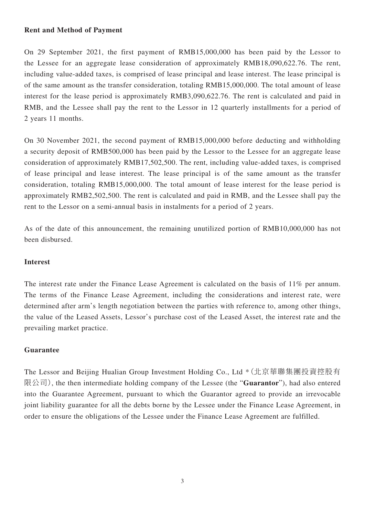#### **Rent and Method of Payment**

On 29 September 2021, the first payment of RMB15,000,000 has been paid by the Lessor to the Lessee for an aggregate lease consideration of approximately RMB18,090,622.76. The rent, including value-added taxes, is comprised of lease principal and lease interest. The lease principal is of the same amount as the transfer consideration, totaling RMB15,000,000. The total amount of lease interest for the lease period is approximately RMB3,090,622.76. The rent is calculated and paid in RMB, and the Lessee shall pay the rent to the Lessor in 12 quarterly installments for a period of 2 years 11 months.

On 30 November 2021, the second payment of RMB15,000,000 before deducting and withholding a security deposit of RMB500,000 has been paid by the Lessor to the Lessee for an aggregate lease consideration of approximately RMB17,502,500. The rent, including value-added taxes, is comprised of lease principal and lease interest. The lease principal is of the same amount as the transfer consideration, totaling RMB15,000,000. The total amount of lease interest for the lease period is approximately RMB2,502,500. The rent is calculated and paid in RMB, and the Lessee shall pay the rent to the Lessor on a semi-annual basis in instalments for a period of 2 years.

As of the date of this announcement, the remaining unutilized portion of RMB10,000,000 has not been disbursed.

#### **Interest**

The interest rate under the Finance Lease Agreement is calculated on the basis of 11% per annum. The terms of the Finance Lease Agreement, including the considerations and interest rate, were determined after arm's length negotiation between the parties with reference to, among other things, the value of the Leased Assets, Lessor's purchase cost of the Leased Asset, the interest rate and the prevailing market practice.

#### **Guarantee**

The Lessor and Beijing Hualian Group Investment Holding Co., Ltd \*(北京華聯集團投資控股有 限公司), the then intermediate holding company of the Lessee (the "**Guarantor**"), had also entered into the Guarantee Agreement, pursuant to which the Guarantor agreed to provide an irrevocable joint liability guarantee for all the debts borne by the Lessee under the Finance Lease Agreement, in order to ensure the obligations of the Lessee under the Finance Lease Agreement are fulfilled.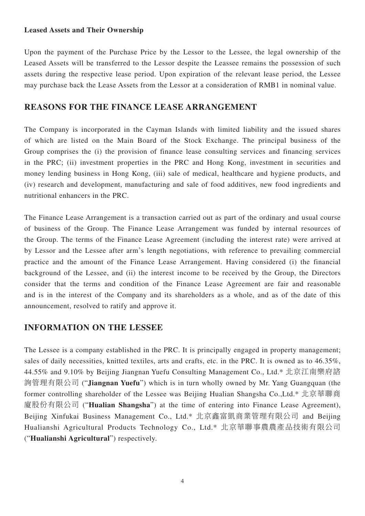#### **Leased Assets and Their Ownership**

Upon the payment of the Purchase Price by the Lessor to the Lessee, the legal ownership of the Leased Assets will be transferred to the Lessor despite the Leassee remains the possession of such assets during the respective lease period. Upon expiration of the relevant lease period, the Lessee may purchase back the Lease Assets from the Lessor at a consideration of RMB1 in nominal value.

### **REASONS FOR THE FINANCE LEASE ARRANGEMENT**

The Company is incorporated in the Cayman Islands with limited liability and the issued shares of which are listed on the Main Board of the Stock Exchange. The principal business of the Group comprises the (i) the provision of finance lease consulting services and financing services in the PRC; (ii) investment properties in the PRC and Hong Kong, investment in securities and money lending business in Hong Kong, (iii) sale of medical, healthcare and hygiene products, and (iv) research and development, manufacturing and sale of food additives, new food ingredients and nutritional enhancers in the PRC.

The Finance Lease Arrangement is a transaction carried out as part of the ordinary and usual course of business of the Group. The Finance Lease Arrangement was funded by internal resources of the Group. The terms of the Finance Lease Agreement (including the interest rate) were arrived at by Lessor and the Lessee after arm's length negotiations, with reference to prevailing commercial practice and the amount of the Finance Lease Arrangement. Having considered (i) the financial background of the Lessee, and (ii) the interest income to be received by the Group, the Directors consider that the terms and condition of the Finance Lease Agreement are fair and reasonable and is in the interest of the Company and its shareholders as a whole, and as of the date of this announcement, resolved to ratify and approve it.

### **INFORMATION ON THE LESSEE**

The Lessee is a company established in the PRC. It is principally engaged in property management; sales of daily necessities, knitted textiles, arts and crafts, etc. in the PRC. It is owned as to 46.35%, 44.55% and 9.10% by Beijing Jiangnan Yuefu Consulting Management Co., Ltd.\* 北京江南樂府諮 詢管理有限公司 ("**Jiangnan Yuefu**") which is in turn wholly owned by Mr. Yang Guangquan (the former controlling shareholder of the Lessee was Beijing Hualian Shangsha Co.,Ltd.\* 北京華聯商 廈股份有限公司 ("**Hualian Shangsha**") at the time of entering into Finance Lease Agreement), Beijing Xinfukai Business Management Co., Ltd.\* 北京鑫富凱商業管理有限公司 and Beijing Hualianshi Agricultural Products Technology Co., Ltd.\* 北京華聯事農農產品技術有限公司 ("**Hualianshi Agricultural**") respectively.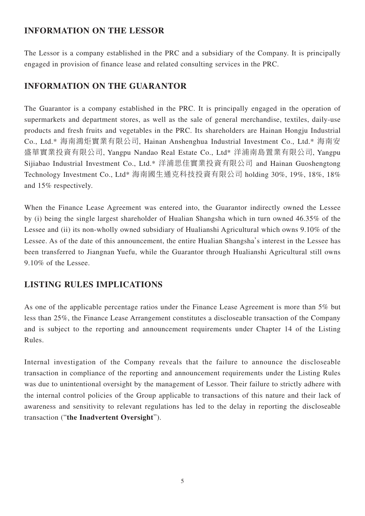### **INFORMATION ON THE LESSOR**

The Lessor is a company established in the PRC and a subsidiary of the Company. It is principally engaged in provision of finance lease and related consulting services in the PRC.

## **INFORMATION ON THE GUARANTOR**

The Guarantor is a company established in the PRC. It is principally engaged in the operation of supermarkets and department stores, as well as the sale of general merchandise, textiles, daily-use products and fresh fruits and vegetables in the PRC. Its shareholders are Hainan Hongju Industrial Co., Ltd.\* 海南鴻炬實業有限公司, Hainan Anshenghua Industrial Investment Co., Ltd.\* 海南安 盛華實業投資有限公司, Yangpu Nandao Real Estate Co., Ltd\* 洋浦南島置業有限公司, Yangpu Sijiabao Industrial Investment Co., Ltd.\* 洋浦思佳實業投資有限公司 and Hainan Guoshengtong Technology Investment Co., Ltd\* 海南國生通克科技投資有限公司 holding 30%, 19%, 18%, 18% and 15% respectively.

When the Finance Lease Agreement was entered into, the Guarantor indirectly owned the Lessee by (i) being the single largest shareholder of Hualian Shangsha which in turn owned 46.35% of the Lessee and (ii) its non-wholly owned subsidiary of Hualianshi Agricultural which owns 9.10% of the Lessee. As of the date of this announcement, the entire Hualian Shangsha's interest in the Lessee has been transferred to Jiangnan Yuefu, while the Guarantor through Hualianshi Agricultural still owns 9.10% of the Lessee.

## **LISTING RULES IMPLICATIONS**

As one of the applicable percentage ratios under the Finance Lease Agreement is more than 5% but less than 25%, the Finance Lease Arrangement constitutes a discloseable transaction of the Company and is subject to the reporting and announcement requirements under Chapter 14 of the Listing Rules.

Internal investigation of the Company reveals that the failure to announce the discloseable transaction in compliance of the reporting and announcement requirements under the Listing Rules was due to unintentional oversight by the management of Lessor. Their failure to strictly adhere with the internal control policies of the Group applicable to transactions of this nature and their lack of awareness and sensitivity to relevant regulations has led to the delay in reporting the discloseable transaction ("**the Inadvertent Oversight**").